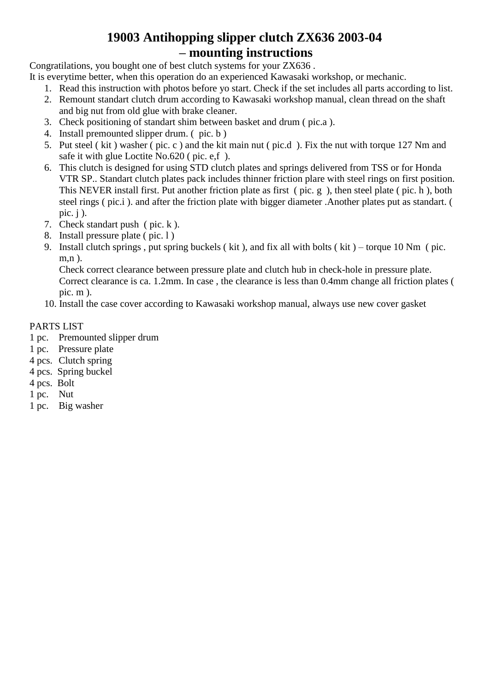### **19003 Antihopping slipper clutch ZX636 2003-04 – mounting instructions**

Congratilations, you bought one of best clutch systems for your ZX636 .

- It is everytime better, when this operation do an experienced Kawasaki workshop, or mechanic.
	- 1. Read this instruction with photos before yo start. Check if the set includes all parts according to list.
	- 2. Remount standart clutch drum according to Kawasaki workshop manual, clean thread on the shaft and big nut from old glue with brake cleaner.
	- 3. Check positioning of standart shim between basket and drum ( pic.a ).
	- 4. Install premounted slipper drum. ( pic. b )
	- 5. Put steel ( kit ) washer ( pic. c ) and the kit main nut ( pic.d ). Fix the nut with torque 127 Nm and safe it with glue Loctite No.620 ( pic. e,f ).
	- 6. This clutch is designed for using STD clutch plates and springs delivered from TSS or for Honda VTR SP.. Standart clutch plates pack includes thinner friction plare with steel rings on first position. This NEVER install first. Put another friction plate as first ( pic. g ), then steel plate ( pic. h ), both steel rings ( pic.i ). and after the friction plate with bigger diameter .Another plates put as standart. ( pic.  $i$ ).
	- 7. Check standart push ( pic. k ).
	- 8. Install pressure plate ( pic. l )
	- 9. Install clutch springs , put spring buckels ( kit ), and fix all with bolts ( kit ) torque 10 Nm ( pic. m.n ).

Check correct clearance between pressure plate and clutch hub in check-hole in pressure plate. Correct clearance is ca. 1.2mm. In case , the clearance is less than 0.4mm change all friction plates ( pic. m ).

10. Install the case cover according to Kawasaki workshop manual, always use new cover gasket

#### PARTS LIST

- 1 pc. Premounted slipper drum
- 1 pc. Pressure plate
- 4 pcs. Clutch spring
- 4 pcs. Spring buckel
- 4 pcs. Bolt
- 1 pc. Nut
- 1 pc. Big washer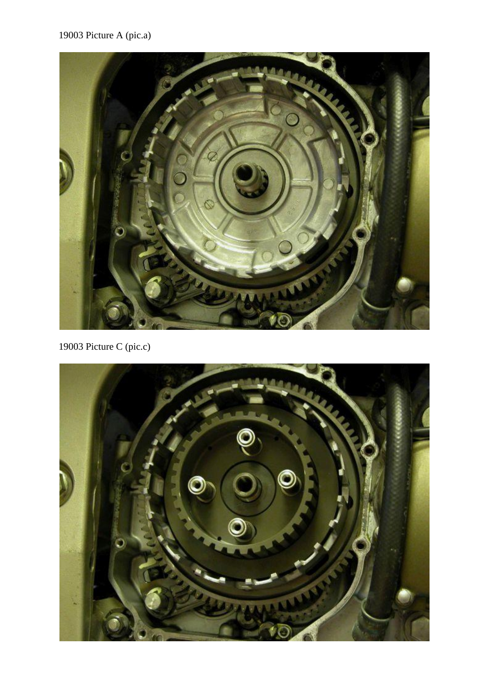## 19003 Picture A (pic.a)



19003 Picture C (pic.c)

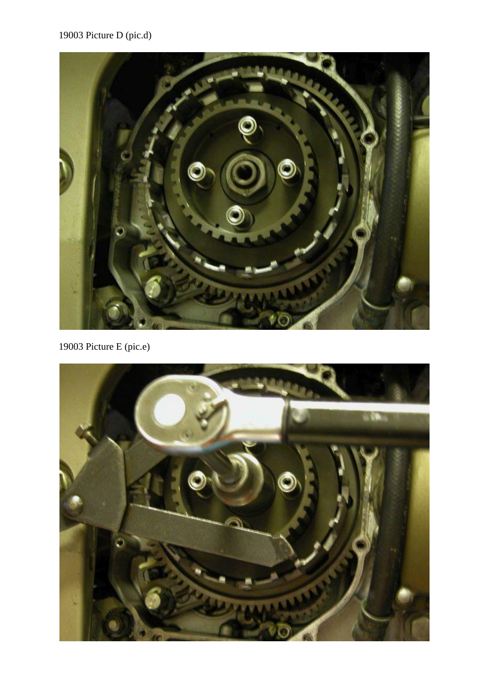# 19003 Picture D (pic.d)



19003 Picture E (pic.e)

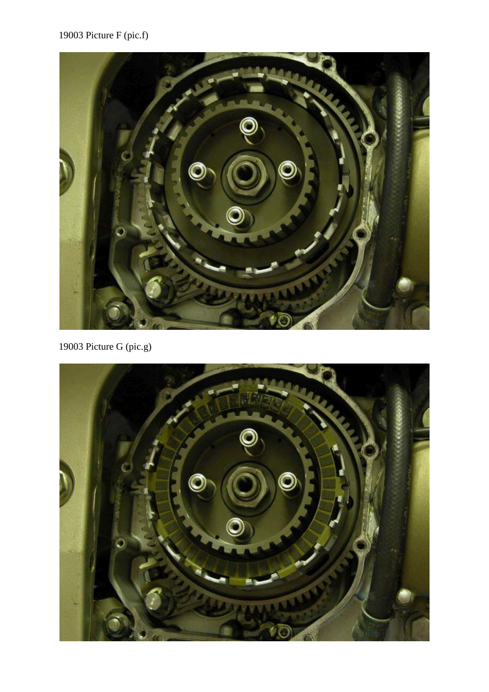

19003 Picture G (pic.g)

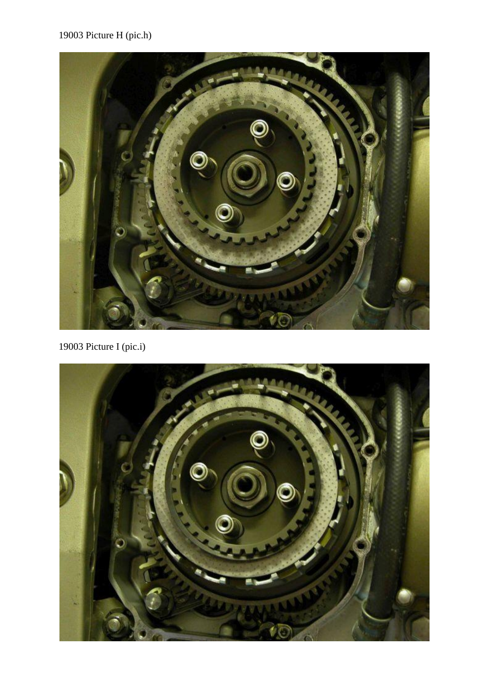## 19003 Picture H (pic.h)



19003 Picture I (pic.i)

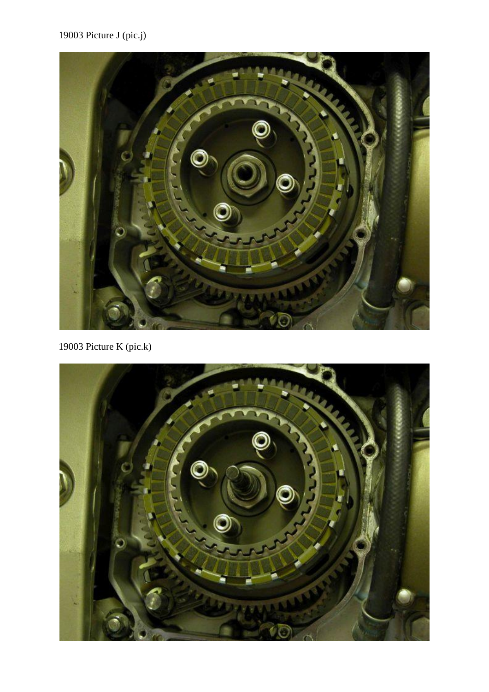19003 Picture J (pic.j)



19003 Picture K (pic.k)